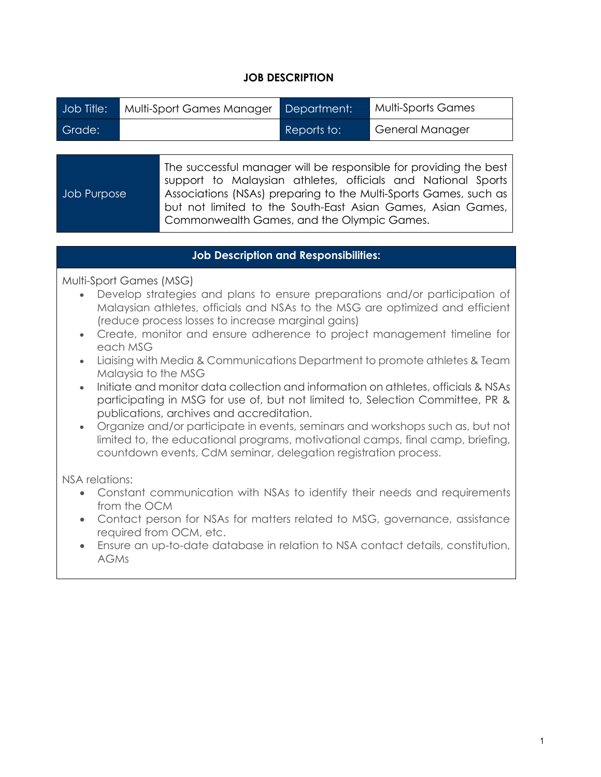## **JOB DESCRIPTION**

| Job Title: | Multi-Sport Games Manager | Department: | Multi-Sports Games     |
|------------|---------------------------|-------------|------------------------|
| Grade:     |                           | Reports to: | <b>General Manager</b> |

|                    | The successful manager will be responsible for providing the best |  |  |
|--------------------|-------------------------------------------------------------------|--|--|
|                    | support to Malaysian athletes, officials and National Sports      |  |  |
| <b>Job Purpose</b> | Associations (NSAs) preparing to the Multi-Sports Games, such as  |  |  |
|                    | but not limited to the South-East Asian Games, Asian Games,       |  |  |
|                    | Commonwealth Games, and the Olympic Games.                        |  |  |
|                    |                                                                   |  |  |

## **Job Description and Responsibilities:**

Multi-Sport Games (MSG)

- Develop strategies and plans to ensure preparations and/or participation of Malaysian athletes, officials and NSAs to the MSG are optimized and efficient (reduce process losses to increase marginal gains)
- Create, monitor and ensure adherence to project management timeline for each MSG
- Liaising with Media & Communications Department to promote athletes & Team Malaysia to the MSG
- Initiate and monitor data collection and information on athletes, officials & NSAs participating in MSG for use of, but not limited to, Selection Committee, PR & publications, archives and accreditation.
- Organize and/or participate in events, seminars and workshops such as, but not limited to, the educational programs, motivational camps, final camp, briefing, countdown events, CdM seminar, delegation registration process.

NSA relations:

- Constant communication with NSAs to identify their needs and requirements from the OCM
- Contact person for NSAs for matters related to MSG, governance, assistance required from OCM, etc.
- Ensure an up-to-date database in relation to NSA contact details, constitution, AGMs